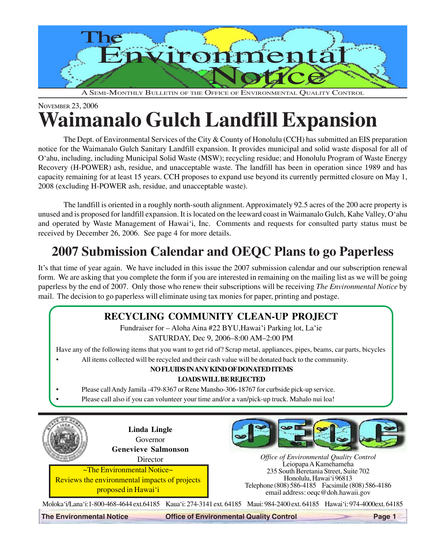

A SEMI-MONTHLY BULLETIN OF THE OFFICE OF ENVIRONMENTAL QUALITY CONTROL

# NOVEMBER 23, 2006 **Waimanalo Gulch Landfill Expansion**

The Dept. of Environmental Services of the City & County of Honolulu (CCH) has submitted an EIS preparation notice for the Waimanalo Gulch Sanitary Landfill expansion. It provides municipal and solid waste disposal for all of O'ahu, including, including Municipal Solid Waste (MSW); recycling residue; and Honolulu Program of Waste Energy Recovery (H-POWER) ash, residue, and unacceptable waste. The landfill has been in operation since 1989 and has capacity remaining for at least 15 years. CCH proposes to expand use beyond its currently permitted closure on May 1, 2008 (excluding H-POWER ash, residue, and unacceptable waste).

The landfill is oriented in a roughly north-south alignment. Approximately 92.5 acres of the 200 acre property is unused and is proposed for landfill expansion. It is located on the leeward coast in Waimanalo Gulch, Kahe Valley, O'ahu and operated by Waste Management of Hawai'i, Inc. Comments and requests for consulted party status must be received by December 26, 2006. See page 4 for more details.

# **2007 Submission Calendar and OEQC Plans to go Paperless**

It's that time of year again. We have included in this issue the 2007 submission calendar and our subscription renewal form. We are asking that you complete the form if you are interested in remaining on the mailing list as we will be going paperless by the end of 2007. Only those who renew their subscriptions will be receiving *The Environmental Notice* by mail. The decision to go paperless will eliminate using tax monies for paper, printing and postage.

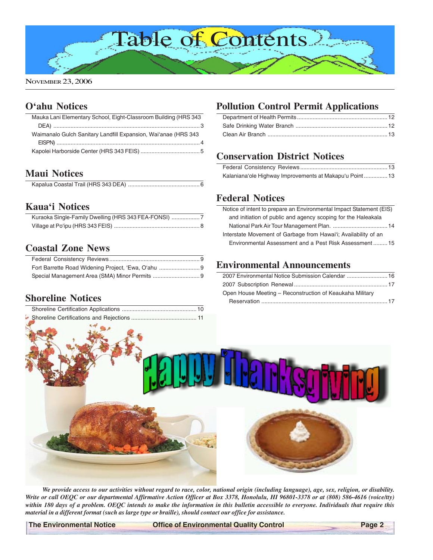

### **[O'ahu Notices](#page-2-0)**

| Mauka Lani Elementary School, Eight-Classroom Building (HRS 343 |  |
|-----------------------------------------------------------------|--|
|                                                                 |  |
| Waimanalo Gulch Sanitary Landfill Expansion, Wai'anae (HRS 343) |  |
|                                                                 |  |
|                                                                 |  |
|                                                                 |  |

### **[Maui Notices](#page-5-0)**

### **[Kaua'i Notices](#page-6-0)**

| Kuraoka Single-Family Dwelling (HRS 343 FEA-FONSI) |  |
|----------------------------------------------------|--|
|                                                    |  |

### **[Coastal Zone News](#page-8-0)**

### **[Shoreline Notices](#page-9-0)**

## **Pollution Control Permit Applications**

# **[Conservation District Notices](#page-12-0)**

| Kalaniana'ole Highway Improvements at Makapu'u Point 13 |  |
|---------------------------------------------------------|--|

### **[Federal Notices](#page-13-0)**

| Notice of intent to prepare an Environmental Impact Statement (EIS) |
|---------------------------------------------------------------------|
| and initiation of public and agency scoping for the Haleakala       |
|                                                                     |
| Interstate Movement of Garbage from Hawai'i; Availability of an     |
| Environmental Assessment and a Pest Risk Assessment  15             |
|                                                                     |

### **[Environmental Announcements](#page-15-0)**

| 2007 Environmental Notice Submission Calendar  16        |
|----------------------------------------------------------|
|                                                          |
| Open House Meeting – Reconstruction of Keaukaha Military |
|                                                          |



*We provide access to our activities without regard to race, color, national origin (including language), age, sex, religion, or disability. Write or call OEQC or our departmental Affirmative Action Officer at Box 3378, Honolulu, HI 96801-3378 or at (808) 586-4616 (voice/tty) within 180 days of a problem. OEQC intends to make the information in this bulletin accessible to everyone. Individuals that require this material in a different format (such as large type or braille), should contact our office for assistance.*

**The Environmental Notice Control Control Page 2** Office of Environmental Quality Control Page 2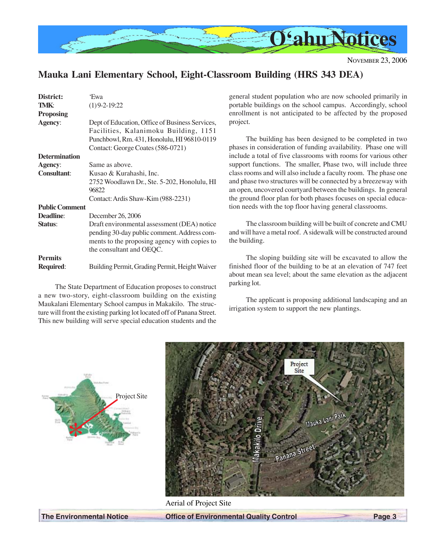<span id="page-2-0"></span>

### **Mauka Lani Elementary School, Eight-Classroom Building (HRS 343 DEA)**

| District:             | 'Ewa                                                                                                                                                                   |
|-----------------------|------------------------------------------------------------------------------------------------------------------------------------------------------------------------|
| TMK:                  | $(1)$ 9-2-19:22                                                                                                                                                        |
| <b>Proposing</b>      |                                                                                                                                                                        |
| Agency:               | Dept of Education, Office of Business Services,<br>Facilities, Kalanimoku Building, 1151                                                                               |
|                       | Punchbowl, Rm. 431, Honolulu, HI 96810-0119<br>Contact: George Coates (586-0721)                                                                                       |
| <b>Determination</b>  |                                                                                                                                                                        |
| <b>Agency:</b>        | Same as above.                                                                                                                                                         |
| <b>Consultant:</b>    | Kusao & Kurahashi, Inc.                                                                                                                                                |
|                       | 2752 Woodlawn Dr., Ste. 5-202, Honolulu, HI<br>96822                                                                                                                   |
|                       | Contact: Ardis Shaw-Kim (988-2231)                                                                                                                                     |
| <b>Public Comment</b> |                                                                                                                                                                        |
| <b>Deadline:</b>      | December 26, 2006                                                                                                                                                      |
| Status:               | Draft environmental assessment (DEA) notice<br>pending 30-day public comment. Address com-<br>ments to the proposing agency with copies to<br>the consultant and OEQC. |
| <b>Permits</b>        |                                                                                                                                                                        |
| Required:             | Building Permit, Grading Permit, Height Waiver                                                                                                                         |

The State Department of Education proposes to construct a new two-story, eight-classroom building on the existing Maukalani Elementary School campus in Makakilo. The structure will front the existing parking lot located off of Panana Street. This new building will serve special education students and the general student population who are now schooled primarily in portable buildings on the school campus. Accordingly, school enrollment is not anticipated to be affected by the proposed project.

The building has been designed to be completed in two phases in consideration of funding availability. Phase one will include a total of five classrooms with rooms for various other support functions. The smaller, Phase two, will include three class rooms and will also include a faculty room. The phase one and phase two structures will be connected by a breezeway with an open, uncovered courtyard between the buildings. In general the ground floor plan for both phases focuses on special education needs with the top floor having general classrooms.

The classroom building will be built of concrete and CMU and will have a metal roof. A sidewalk will be constructed around the building.

The sloping building site will be excavated to allow the finished floor of the building to be at an elevation of 747 feet about mean sea level; about the same elevation as the adjacent parking lot.

The applicant is proposing additional landscaping and an irrigation system to support the new plantings.





Aerial of Project Site

**The Environmental Notice Office of Environmental Quality Control Page 3**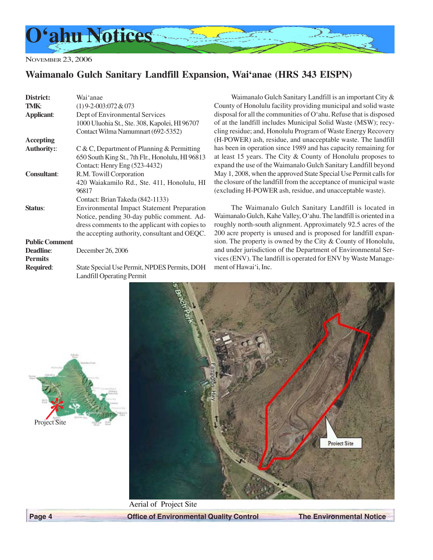<span id="page-3-0"></span>

NOVEMBER 23, 2006

### **Waimanalo Gulch Sanitary Landfill Expansion, Wai'anae (HRS 343 EISPN)**

| District:             | Wai 'anae                                         |
|-----------------------|---------------------------------------------------|
| <b>TMK:</b>           | $(1)$ 9-2-003:072 & 073                           |
| <b>Applicant:</b>     | Dept of Environmental Services                    |
|                       | 1000 Uluohia St., Ste. 308, Kapolei, HI 96707     |
|                       | Contact Wilma Namumnart (692-5352)                |
| <b>Accepting</b>      |                                                   |
| <b>Authority::</b>    | $C & C$ , Department of Planning & Permitting     |
|                       | 650 South King St., 7th Flr., Honolulu, HI 96813  |
|                       | Contact: Henry Eng (523-4432)                     |
| <b>Consultant:</b>    | R.M. Towill Corporation                           |
|                       | 420 Waiakamilo Rd., Ste. 411, Honolulu, HI        |
|                       | 96817                                             |
|                       | Contact: Brian Takeda (842-1133)                  |
| Status:               | <b>Environmental Impact Statement Preparation</b> |
|                       | Notice, pending 30-day public comment. Ad-        |
|                       | dress comments to the applicant with copies to    |
|                       | the accepting authority, consultant and OEQC.     |
| <b>Public Comment</b> |                                                   |
| <b>Deadline:</b>      | December 26, 2006                                 |
| <b>Permits</b>        |                                                   |
| Required:             | State Special Use Permit, NPDES Permits, DOH      |
|                       | <b>Landfill Operating Permit</b>                  |

Waimanalo Gulch Sanitary Landfill is an important City & County of Honolulu facility providing municipal and solid waste disposal for all the communities of O'ahu. Refuse that is disposed of at the landfill includes Municipal Solid Waste (MSW); recycling residue; and, Honolulu Program of Waste Energy Recovery (H-POWER) ash, residue, and unacceptable waste. The landfill has been in operation since 1989 and has capacity remaining for at least 15 years. The City & County of Honolulu proposes to expand the use of the Waimanalo Gulch Sanitary Landfill beyond May 1, 2008, when the approved State Special Use Permit calls for the closure of the landfill from the acceptance of municipal waste (excluding H-POWER ash, residue, and unacceptable waste).

The Waimanalo Gulch Sanitary Landfill is located in Waimanalo Gulch, Kahe Valley, O'ahu. The landfill is oriented in a roughly north-south alignment. Approximately 92.5 acres of the 200 acre property is unused and is proposed for landfill expansion. The property is owned by the City & County of Honolulu, and under jurisdiction of the Department of Environmental Services (ENV). The landfill is operated for ENV by Waste Management of Hawai'i, Inc.





 **Page 4 Control Control Control Control Control The Environmental Notice of Environmental Quality Control The Environmental Notice**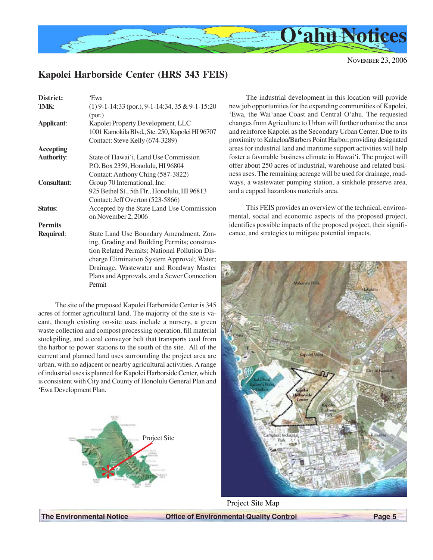<span id="page-4-0"></span>

### **Kapolei Harborside Center (HRS 343 FEIS)**

| District:          | 'Ewa                                              |
|--------------------|---------------------------------------------------|
| TMK:               | $(1)$ 9-1-14:33 (por.), 9-1-14:34, 35 & 9-1-15:20 |
|                    | (por.)                                            |
| <b>Applicant:</b>  | Kapolei Property Development, LLC                 |
|                    | 1001 Kamokila Blvd., Ste. 250, Kapolei HI 96707   |
|                    | Contact: Steve Kelly (674-3289)                   |
| Accepting          |                                                   |
| <b>Authority:</b>  | State of Hawai'i, Land Use Commission             |
|                    | P.O. Box 2359, Honolulu, HI 96804                 |
|                    | Contact: Anthony Ching (587-3822)                 |
| <b>Consultant:</b> | Group 70 International, Inc.                      |
|                    | 925 Bethel St., 5th Flr., Honolulu, HI 96813      |
|                    | Contact: Jeff Overton (523-5866)                  |
| Status:            | Accepted by the State Land Use Commission         |
|                    | on November 2, 2006                               |
| <b>Permits</b>     |                                                   |
| Required:          | State Land Use Boundary Amendment, Zon-           |
|                    | ing, Grading and Building Permits; construc-      |
|                    | tion Related Permits; National Pollution Dis-     |
|                    | charge Elimination System Approval; Water;        |
|                    | Drainage, Wastewater and Roadway Master           |
|                    | Plans and Approvals, and a Sewer Connection       |
|                    | Permit                                            |

The site of the proposed Kapolei Harborside Center is 345 acres of former agricultural land. The majority of the site is vacant, though existing on-site uses include a nursery, a green waste collection and compost processing operation, fill material stockpiling, and a coal conveyor belt that transports coal from the harbor to power stations to the south of the site. All of the current and planned land uses surrounding the project area are urban, with no adjacent or nearby agricultural activities. A range of industrial uses is planned for Kapolei Harborside Center, which is consistent with City and County of Honolulu General Plan and 'Ewa Development Plan.



The industrial development in this location will provide new job opportunities for the expanding communities of Kapolei, 'Ewa, the Wai'anae Coast and Central O'ahu. The requested changes from Agriculture to Urban will further urbanize the area and reinforce Kapolei as the Secondary Urban Center. Due to its proximity to Kalaeloa/Barbers Point Harbor, providing designated areas for industrial land and maritime support activities will help foster a favorable business climate in Hawai'i. The project will offer about 250 acres of industrial, warehouse and related business uses. The remaining acreage will be used for drainage, roadways, a wastewater pumping station, a sinkhole preserve area, and a capped hazardous materials area.

This FEIS provides an overview of the technical, environmental, social and economic aspects of the proposed project, identifies possible impacts of the proposed project, their significance, and strategies to mitigate potential impacts.



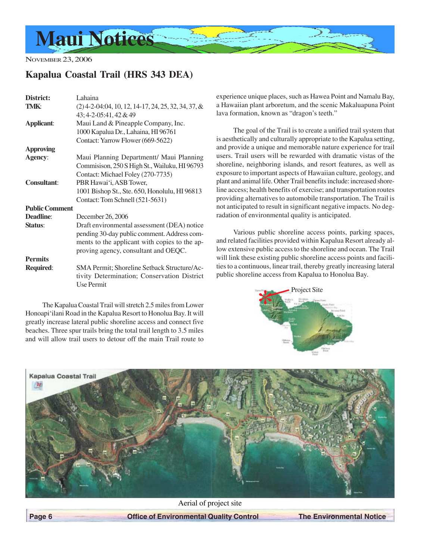<span id="page-5-0"></span>

NOVEMBER 23, 2006

### **Kapalua Coastal Trail (HRS 343 DEA)**

| District:             | Lahaina                                               |
|-----------------------|-------------------------------------------------------|
| TMK:                  | $(2)$ 4-2-04:04, 10, 12, 14-17, 24, 25, 32, 34, 37, & |
|                       | 43; 4-2-05:41, 42 & 49                                |
| Applicant:            | Maui Land & Pineapple Company, Inc.                   |
|                       | 1000 Kapalua Dr., Lahaina, HI 96761                   |
|                       | Contact: Yarrow Flower (669-5622)                     |
| <b>Approving</b>      |                                                       |
| Agency:               | Maui Planning Departmentt/ Maui Planning              |
|                       | Commisison, 250 S High St., Wailuku, HI 96793         |
|                       | Contact: Michael Foley (270-7735)                     |
| <b>Consultant:</b>    | PBR Hawai'i, ASB Tower,                               |
|                       | 1001 Bishop St., Ste. 650, Honolulu, HI 96813         |
|                       | Contact: Tom Schnell (521-5631)                       |
| <b>Public Comment</b> |                                                       |
| Deadline:             | December 26, 2006                                     |
| Status:               | Draft environmental assessment (DEA) notice           |
|                       | pending 30-day public comment. Address com-           |
|                       | ments to the applicant with copies to the ap-         |
|                       | proving agency, consultant and OEQC.                  |
| <b>Permits</b>        |                                                       |
| <b>Required:</b>      | <b>SMA Permit: Shoreline Setback Structure/Ac-</b>    |
|                       | tivity Determination; Conservation District           |
|                       | Use Permit                                            |

The Kapalua Coastal Trail will stretch 2.5 miles from Lower Honoapi'ilani Road in the Kapalua Resort to Honolua Bay. It will greatly increase lateral public shoreline access and connect five beaches. Three spur trails bring the total trail length to 3.5 miles and will allow trail users to detour off the main Trail route to experience unique places, such as Hawea Point and Namalu Bay, a Hawaiian plant arboretum, and the scenic Makaluapuna Point lava formation, known as "dragon's teeth."

The goal of the Trail is to create a unified trail system that is aesthetically and culturally appropriate to the Kapalua setting, and provide a unique and memorable nature experience for trail users. Trail users will be rewarded with dramatic vistas of the shoreline, neighboring islands, and resort features, as well as exposure to important aspects of Hawaiian culture, geology, and plant and animal life. Other Trail benefits include: increased shoreline access; health benefits of exercise; and transportation routes providing alternatives to automobile transportation. The Trail is not anticipated to result in significant negative impacts. No degradation of environmental quality is anticipated.

Various public shoreline access points, parking spaces, and related facilities provided within Kapalua Resort already allow extensive public access to the shoreline and ocean. The Trail will link these existing public shoreline access points and facilities to a continuous, linear trail, thereby greatly increasing lateral public shoreline access from Kapalua to Honolua Bay.





Aerial of project site

 **Page 6 Control Control Control Page 6 Control Page 6 Control Control Page 6 Control Page 10 Page 10 Page 10 Page 10 Page 10 Page 10 Page 10 Page 10 Page 10 Page 10 Page 10 Page 10 Page 10 Page 10 Page 10 Page 10 Page 10**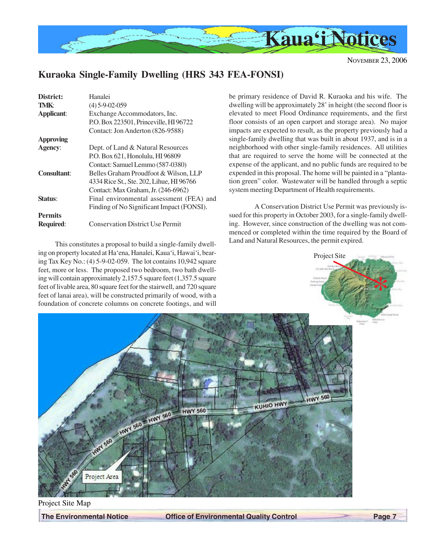<span id="page-6-0"></span>

\*

# **Kuraoka Single-Family Dwelling (HRS 343 FEA-FONSI)**

| District:          | Hanalei                                   |
|--------------------|-------------------------------------------|
| TMK:               | $(4) 5 - 9 - 02 - 059$                    |
| <b>Applicant:</b>  | Exchange Accommodators, Inc.              |
|                    | P.O. Box 223501, Princeville, HI 96722    |
|                    | Contact: Jon Anderton (826-9588)          |
| <b>Approving</b>   |                                           |
| <b>Agency:</b>     | Dept. of Land & Natural Resources         |
|                    | P.O. Box 621, Honolulu, HI 96809          |
|                    | Contact: Samuel Lemmo (587-0380)          |
| <b>Consultant:</b> | Belles Graham Proudfoot & Wilson, LLP     |
|                    | 4334 Rice St., Ste. 202, Lihue, HI 96766  |
|                    | Contact: Max Graham, Jr. (246-6962)       |
| <b>Status:</b>     | Final environmental assessment (FEA) and  |
|                    | Finding of No Significant Impact (FONSI). |
| <b>Permits</b>     |                                           |
| <b>Required:</b>   | <b>Conservation District Use Permit</b>   |
|                    |                                           |

This constitutes a proposal to build a single-family dwelling on property located at Ha'ena, Hanalei, Kaua'i, Hawai'i, bearing Tax Key No.: (4) 5-9-02-059. The lot contains 10,942 square feet, more or less. The proposed two bedroom, two bath dwelling will contain approximately 2,157.5 square feet (1,357.5 square feet of livable area, 80 square feet for the stairwell, and 720 square feet of lanai area), will be constructed primarily of wood, with a foundation of concrete columns on concrete footings, and will

be primary residence of David R. Kuraoka and his wife. The dwelling will be approximately 28' in height (the second floor is elevated to meet Flood Ordinance requirements, and the first floor consists of an open carport and storage area). No major impacts are expected to result, as the property previously had a single-family dwelling that was built in about 1937, and is in a neighborhood with other single-family residences. All utilities that are required to serve the home will be connected at the expense of the applicant, and no public funds are required to be expended in this proposal. The home will be painted in a "plantation green" color. Wastewater will be handled through a septic system meeting Department of Health requirements.

A Conservation District Use Permit was previously issued for this property in October 2003, for a single-family dwelling. However, since construction of the dwelling was not commenced or completed within the time required by the Board of Land and Natural Resources, the permit expired.

Project Site



**The Environmental Notice Control Page 7** Office of Environmental Quality Control Page 7 Project Site Map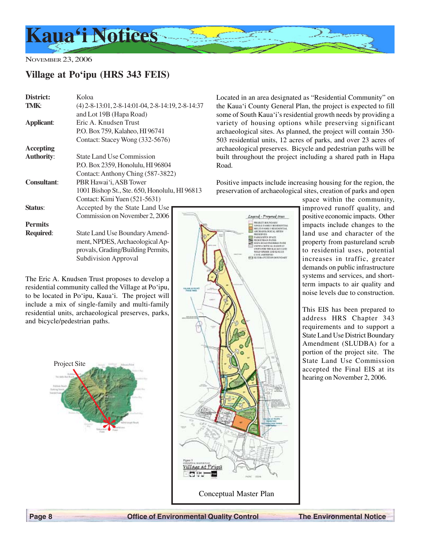<span id="page-7-0"></span>

## **Village at Po'ipu (HRS 343 FEIS)**

| District:          | Koloa                                               |  |  |  |
|--------------------|-----------------------------------------------------|--|--|--|
| TMK:               | $(4)$ 2-8-13:01, 2-8-14:01-04, 2-8-14:19, 2-8-14:37 |  |  |  |
|                    | and Lot 19B (Hapa Road)                             |  |  |  |
| <b>Applicant:</b>  | Eric A. Knudsen Trust                               |  |  |  |
|                    | P.O. Box 759, Kalaheo, HI 96741                     |  |  |  |
|                    | Contact: Stacey Wong (332-5676)                     |  |  |  |
| Accepting          |                                                     |  |  |  |
| <b>Authority:</b>  | State Land Use Commission                           |  |  |  |
|                    | P.O. Box 2359, Honolulu, HI 96804                   |  |  |  |
|                    | Contact: Anthony Ching (587-3822)                   |  |  |  |
| <b>Consultant:</b> | PBR Hawai'i, ASB Tower                              |  |  |  |
|                    | 1001 Bishop St., Ste. 650, Honolulu, HI 96813       |  |  |  |
|                    | Contact: Kimi Yuen (521-5631)                       |  |  |  |
| Status:            | Accepted by the State Land Use                      |  |  |  |
|                    | Commission on November 2, 2006                      |  |  |  |
| <b>Permits</b>     |                                                     |  |  |  |
| <b>Required:</b>   | State Land Use Boundary Amend-                      |  |  |  |
|                    | ment, NPDES, Archaeological Ap-                     |  |  |  |
|                    | provals, Grading/Building Permits,                  |  |  |  |
|                    | <b>Subdivision Approval</b>                         |  |  |  |

The Eric A. Knudsen Trust proposes to develop a residential community called the Village at Po'ipu, to be located in Po'ipu, Kaua'i. The project will include a mix of single-family and multi-family residential units, archaeological preserves, parks, and bicycle/pedestrian paths.





Located in an area designated as "Residential Community" on the Kaua'i County General Plan, the project is expected to fill some of South Kaua'i's residential growth needs by providing a variety of housing options while preserving significant archaeological sites. As planned, the project will contain 350- 503 residential units, 12 acres of parks, and over 23 acres of archaeological preserves. Bicycle and pedestrian paths will be built throughout the project including a shared path in Hapa Road.

Positive impacts include increasing housing for the region, the preservation of archaeological sites, creation of parks and open

> Learnd - Proposed Mises **VERT BUCHOARY**

space within the community, improved runoff quality, and positive economic impacts. Other impacts include changes to the land use and character of the property from pastureland scrub to residential uses, potential increases in traffic, greater demands on public infrastructure systems and services, and shortterm impacts to air quality and noise levels due to construction.

This EIS has been prepared to address HRS Chapter 343 requirements and to support a State Land Use District Boundary Amendment (SLUDBA) for a portion of the project site. The State Land Use Commission accepted the Final EIS at its hearing on November 2, 2006.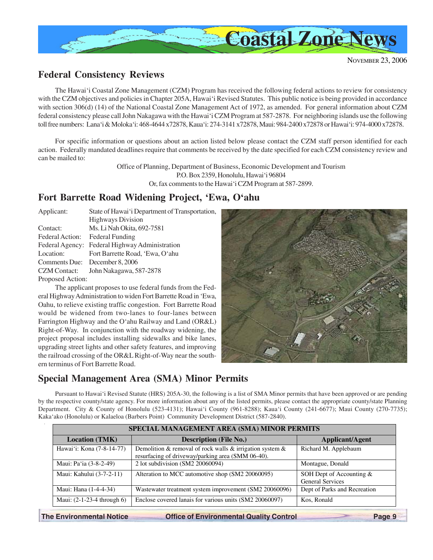<span id="page-8-0"></span>

### **Federal Consistency Reviews**

The Hawai'i Coastal Zone Management (CZM) Program has received the following federal actions to review for consistency with the CZM objectives and policies in Chapter 205A, Hawai'i Revised Statutes. This public notice is being provided in accordance with section 306(d) (14) of the National Coastal Zone Management Act of 1972, as amended. For general information about CZM federal consistency please call John Nakagawa with the Hawai'i CZM Program at 587-2878. For neighboring islands use the following toll free numbers: Lana'i & Moloka'i: 468-4644 x72878, Kaua'i: 274-3141 x72878, Maui: 984-2400 x72878 or Hawai'i: 974-4000 x72878.

For specific information or questions about an action listed below please contact the CZM staff person identified for each action. Federally mandated deadlines require that comments be received by the date specified for each CZM consistency review and can be mailed to:

> Office of Planning, Department of Business, Economic Development and Tourism P.O. Box 2359, Honolulu, Hawai'i 96804 Or, fax comments to the Hawai'i CZM Program at 587-2899.

### **Fort Barrette Road Widening Project, 'Ewa, O'ahu**

| Applicant:          | State of Hawai'i Department of Transportation, |  |  |
|---------------------|------------------------------------------------|--|--|
|                     | <b>Highways Division</b>                       |  |  |
| Contact:            | Ms. Li Nah Okita, 692-7581                     |  |  |
| Federal Action:     | <b>Federal Funding</b>                         |  |  |
| Federal Agency:     | Federal Highway Administration                 |  |  |
| Location:           | Fort Barrette Road, 'Ewa, O'ahu                |  |  |
|                     | Comments Due: December 8, 2006                 |  |  |
| <b>CZM</b> Contact: | John Nakagawa, 587-2878                        |  |  |
| Proposed Action:    |                                                |  |  |

The applicant proposes to use federal funds from the Federal Highway Administration to widen Fort Barrette Road in 'Ewa, Oahu, to relieve existing traffic congestion. Fort Barrette Road would be widened from two-lanes to four-lanes between Farrington Highway and the O'ahu Railway and Land (OR&L) Right-of-Way. In conjunction with the roadway widening, the project proposal includes installing sidewalks and bike lanes, upgrading street lights and other safety features, and improving the railroad crossing of the OR&L Right-of-Way near the southern terminus of Fort Barrette Road.

# **Special Management Area (SMA) Minor Permits**

Pursuant to Hawai'i Revised Statute (HRS) 205A-30, the following is a list of SMA Minor permits that have been approved or are pending by the respective county/state agency. For more information about any of the listed permits, please contact the appropriate county/state Planning Department. City & County of Honolulu (523-4131); Hawai'i County (961-8288); Kaua'i County (241-6677); Maui County (270-7735); Kaka'ako (Honolulu) or Kalaeloa (Barbers Point) Community Development District (587-2840).

| SPECIAL MANAGEMENT AREA (SMA) MINOR PERMITS |                                                                                                                  |                                                     |  |  |  |
|---------------------------------------------|------------------------------------------------------------------------------------------------------------------|-----------------------------------------------------|--|--|--|
| <b>Location (TMK)</b>                       | Applicant/Agent                                                                                                  |                                                     |  |  |  |
| Hawai'i: Kona (7-8-14-77)                   | Demolition & removal of rock walls & irrigation system $\&$<br>resurfacing of driveway/parking area (SMM 06-40). | Richard M. Applebaum                                |  |  |  |
| Maui: Pa'ia (3-8-2-49)                      | 2 lot subdivision (SM2 20060094)                                                                                 | Montague, Donald                                    |  |  |  |
| Maui: Kahului (3-7-2-11)                    | Alteration to MCC automotive shop (SM2 20060095)                                                                 | SOH Dept of Accounting &<br><b>General Services</b> |  |  |  |
| Maui: Hana (1-4-4-34)                       | Wastewater treatment system improvement (SM2 20060096)                                                           | Dept of Parks and Recreation                        |  |  |  |
| Maui: $(2-1-23-4)$ through 6)               | Enclose covered lanais for various units (SM2 20060097)                                                          | Kos, Ronald                                         |  |  |  |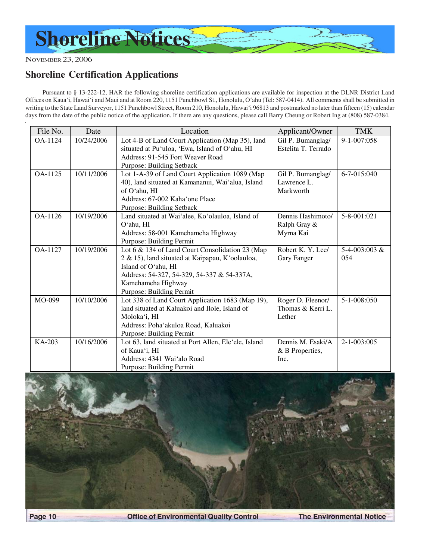<span id="page-9-0"></span>

### **Shoreline Certification Applications**

Pursuant to § 13-222-12, HAR the following shoreline certification applications are available for inspection at the DLNR District Land Offices on Kaua'i, Hawai'i and Maui and at Room 220, 1151 Punchbowl St., Honolulu, O'ahu (Tel: 587-0414). All comments shall be submitted in writing to the State Land Surveyor, 1151 Punchbowl Street, Room 210, Honolulu, Hawai'i 96813 and postmarked no later than fifteen (15) calendar days from the date of the public notice of the application. If there are any questions, please call Barry Cheung or Robert Ing at (808) 587-0384.

| File No. | Date       | Location                                                              | Applicant/Owner     | <b>TMK</b>        |
|----------|------------|-----------------------------------------------------------------------|---------------------|-------------------|
| OA-1124  | 10/24/2006 | Lot 4-B of Land Court Application (Map 35), land<br>Gil P. Bumanglag/ |                     | 9-1-007:058       |
|          |            | situated at Pu'uloa, 'Ewa, Island of O'ahu, HI                        | Estelita T. Terrado |                   |
|          |            | Address: 91-545 Fort Weaver Road                                      |                     |                   |
|          |            | Purpose: Building Setback                                             |                     |                   |
| OA-1125  | 10/11/2006 | Lot 1-A-39 of Land Court Application 1089 (Map                        | Gil P. Bumanglag/   | 6-7-015:040       |
|          |            | 40), land situated at Kamananui, Wai'alua, Island                     | Lawrence L.         |                   |
|          |            | of O'ahu, HI                                                          | Markworth           |                   |
|          |            | Address: 67-002 Kaha'one Place                                        |                     |                   |
|          |            | Purpose: Building Setback                                             |                     |                   |
| OA-1126  | 10/19/2006 | Land situated at Wai'alee, Ko'olauloa, Island of                      | Dennis Hashimoto/   | 5-8-001:021       |
|          |            | O'ahu, HI                                                             | Ralph Gray &        |                   |
|          |            | Address: 58-001 Kamehameha Highway                                    | Myrna Kai           |                   |
|          |            | Purpose: Building Permit                                              |                     |                   |
| OA-1127  | 10/19/2006 | Lot 6 & 134 of Land Court Consolidation 23 (Map                       | Robert K. Y. Lee/   | $5-4-003:003 \&$  |
|          |            | 2 & 15), land situated at Kaipapau, K'oolauloa,                       | Gary Fanger         | 054               |
|          |            | Island of O'ahu, HI                                                   |                     |                   |
|          |            | Address: 54-327, 54-329, 54-337 & 54-337A,                            |                     |                   |
|          |            | Kamehameha Highway                                                    |                     |                   |
|          |            | Purpose: Building Permit                                              |                     |                   |
| MO-099   | 10/10/2006 | Lot 338 of Land Court Application 1683 (Map 19),                      | Roger D. Fleenor/   | 5-1-008:050       |
|          |            | land situated at Kaluakoi and Ilole, Island of                        | Thomas & Kerri L.   |                   |
|          |            | Moloka'i, HI                                                          | Lether              |                   |
|          |            | Address: Poha'akuloa Road, Kaluakoi                                   |                     |                   |
|          |            | Purpose: Building Permit                                              |                     |                   |
| KA-203   | 10/16/2006 | Lot 63, land situated at Port Allen, Ele'ele, Island                  | Dennis M. Esaki/A   | $2 - 1 - 003:005$ |
|          |            | of Kaua'i, HI                                                         | & B Properties,     |                   |
|          |            | Address: 4341 Wai'alo Road                                            | Inc.                |                   |
|          |            | Purpose: Building Permit                                              |                     |                   |



**Page 10 Center Control Deffice of Environmental Quality Control The Environmental Notice**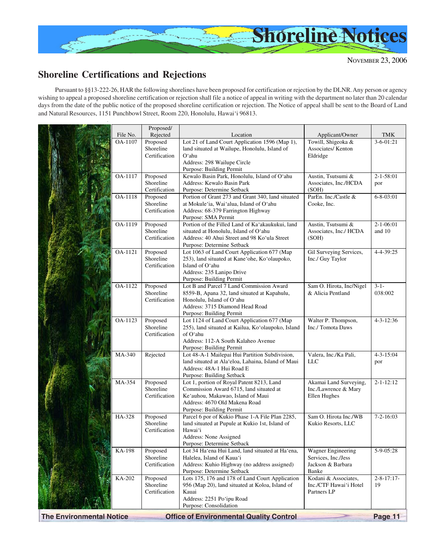<span id="page-10-0"></span>

# **Shoreline Certifications and Rejections**

Pursuant to §§13-222-26, HAR the following shorelines have been proposed for certification or rejection by the DLNR. Any person or agency wishing to appeal a proposed shoreline certification or rejection shall file a notice of appeal in writing with the department no later than 20 calendar days from the date of the public notice of the proposed shoreline certification or rejection. The Notice of appeal shall be sent to the Board of Land and Natural Resources, 1151 Punchbowl Street, Room 220, Honolulu, Hawai'i 96813.

|                                 | OA-1107 | Proposed<br>Shoreline      | Lot 21 of Land Court Application 1596 (Map 1),                                                       | Towill, Shigeoka &<br>Associates/ Kenton      | $3 - 6 - 01:21$      |
|---------------------------------|---------|----------------------------|------------------------------------------------------------------------------------------------------|-----------------------------------------------|----------------------|
|                                 |         | Certification              | land situated at Wailupe, Honolulu, Island of<br>O'ahu                                               | Eldridge                                      |                      |
|                                 |         |                            | Address: 298 Wailupe Circle                                                                          |                                               |                      |
|                                 |         |                            | Purpose: Building Permit                                                                             |                                               |                      |
|                                 | OA-1117 | Proposed                   | Kewalo Basin Park, Honolulu, Island of O'ahu                                                         | Austin, Tsutsumi &                            | $2 - 1 - 58:01$      |
|                                 |         | Shoreline<br>Certification | Address: Kewalo Basin Park<br>Purpose: Determine Setback                                             | Associates, Inc./HCDA<br>(SOH)                | por                  |
|                                 | OA-1118 | Proposed                   | Portion of Grant 273 and Grant 340, land situated                                                    | ParEn. Inc./Castle &                          | $6 - 8 - 03:01$      |
|                                 |         | Shoreline                  | at Mokule'ia, Wai'alua, Island of O'ahu                                                              | Cooke, Inc.                                   |                      |
|                                 |         | Certification              | Address: 68-379 Farrington Highway                                                                   |                                               |                      |
|                                 | OA-1119 | Proposed                   | Purpose: SMA Permit<br>Portion of the Filled Land of Ka'akaukukui, land                              | Austin, Tsutsumi &                            | $2 - 1 - 06:01$      |
|                                 |         | Shoreline                  | situated at Honolulu, Island of O'ahu                                                                | Associates, Inc./ HCDA                        | and 10               |
|                                 |         | Certification              | Address: 40 Ahui Street and 98 Ko'ula Street                                                         | (SOH)                                         |                      |
|                                 |         |                            | Purpose: Determine Setback                                                                           |                                               |                      |
|                                 | OA-1121 | Proposed<br>Shoreline      | Lot 1063 of Land Court Application 677 (Map<br>253), land situated at Kane'ohe, Ko'olaupoko,         | Gil Surveying Services,<br>Inc./ Guy Taylor   | 4-4-39:25            |
|                                 |         | Certification              | Island of O'ahu                                                                                      |                                               |                      |
|                                 |         |                            | Address: 235 Lanipo Drive                                                                            |                                               |                      |
|                                 |         |                            | Purpose: Building Permit                                                                             |                                               |                      |
|                                 | OA-1122 | Proposed<br>Shoreline      | Lot B and Parcel 7 Land Commission Award<br>8559-B, Apana 32, land situated at Kapahulu,             | Sam O. Hirota, Inc/Nigel<br>& Alicia Pentland | $3 - 1 -$<br>038:002 |
|                                 |         | Certification              | Honolulu, Island of O'ahu                                                                            |                                               |                      |
|                                 |         |                            | Address: 3715 Diamond Head Road                                                                      |                                               |                      |
|                                 |         |                            | Purpose: Building Permit                                                                             |                                               |                      |
|                                 | OA-1123 | Proposed<br>Shoreline      | Lot 1124 of Land Court Application 677 (Map                                                          | Walter P. Thompson,<br>Inc./ Tomota Daws      | $4 - 3 - 12:36$      |
|                                 |         | Certification              | 255), land situated at Kailua, Ko'olaupoko, Island<br>of O'ahu                                       |                                               |                      |
|                                 |         |                            | Address: 112-A South Kalaheo Avenue                                                                  |                                               |                      |
|                                 |         |                            | Purpose: Building Permit                                                                             |                                               |                      |
|                                 | MA-340  | Rejected                   | Lot 48-A-1 Mailepai Hui Partition Subdivision,<br>land situated at Ala'eloa, Lahaina, Island of Maui | Valera, Inc./Ka Pali,<br><b>LLC</b>           | $4 - 3 - 15:04$      |
|                                 |         |                            | Address: 48A-1 Hui Road E                                                                            |                                               | por                  |
|                                 |         |                            | Purpose: Building Setback                                                                            |                                               |                      |
|                                 | MA-354  | Proposed                   | Lot 1, portion of Royal Patent 8213, Land                                                            | Akamai Land Surveying,                        | $2 - 1 - 12:12$      |
|                                 |         | Shoreline<br>Certification | Commission Award 6715, land situated at<br>Ke'auhou, Makawao, Island of Maui                         | Inc./Lawrence & Mary<br>Ellen Hughes          |                      |
|                                 |         |                            | Address: 4670 Old Makena Road                                                                        |                                               |                      |
|                                 |         |                            | Purpose: Building Permit                                                                             |                                               |                      |
|                                 | HA-328  | Proposed                   | Parcel 6 por of Kukio Phase 1-A File Plan 2285,                                                      | Sam O. Hirota Inc./WB                         | $7 - 2 - 16:03$      |
|                                 |         | Shoreline<br>Certification | land situated at Pupule at Kukio 1st, Island of<br>Hawai'i                                           | Kukio Resorts, LLC                            |                      |
|                                 |         |                            | Address: None Assigned                                                                               |                                               |                      |
|                                 |         |                            | Purpose: Determine Setback                                                                           |                                               |                      |
|                                 | KA-198  | Proposed                   | Lot 34 Ha'ena Hui Land, land situated at Ha'ena,                                                     | <b>Wagner Engineering</b>                     | 5-9-05:28            |
|                                 |         | Shoreline<br>Certification | Halelea, Island of Kaua'i<br>Address: Kuhio Highway (no address assigned)                            | Services, Inc./Jess<br>Jackson & Barbara      |                      |
|                                 |         |                            | Purpose: Determine Setback                                                                           | Banke                                         |                      |
|                                 | KA-202  | Proposed                   | Lots 175, 176 and 178 of Land Court Application                                                      | Kodani & Associates,                          | $2 - 8 - 17:17$      |
|                                 |         | Shoreline                  | 956 (Map 20), land situated at Koloa, Island of                                                      | Inc./CTF Hawai'i Hotel                        | 19                   |
|                                 |         | Certification              | Kauai<br>Address: 2251 Po'ipu Road                                                                   | Partners LP                                   |                      |
|                                 |         |                            | Purpose: Consolidation                                                                               |                                               |                      |
| <b>The Environmental Notice</b> |         |                            | <b>Office of Environmental Quality Control</b>                                                       |                                               | Page 11              |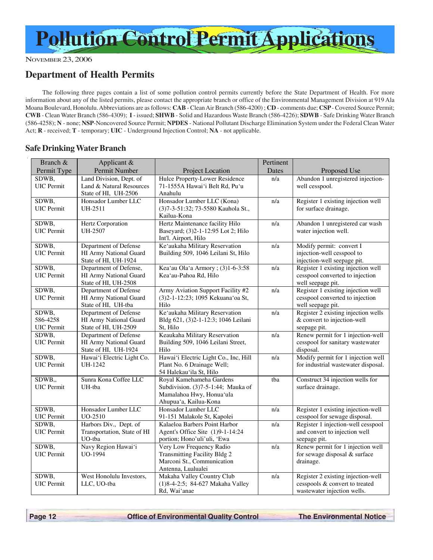### <span id="page-11-0"></span>**Department of Health Permits**

The following three pages contain a list of some pollution control permits currently before the State Department of Health. For more information about any of the listed permits, please contact the appropriate branch or office of the Environmental Management Division at 919 Ala Moana Boulevard, Honolulu. Abbreviations are as follows: **CAB** - Clean Air Branch (586-4200) ; **CD** - comments due; **CSP** - Covered Source Permit; **CWB** - Clean Water Branch (586-4309); **I** - issued; **SHWB** - Solid and Hazardous Waste Branch (586-4226); **SDWB** - Safe Drinking Water Branch (586-4258); **N** - none; **NSP**-Noncovered Source Permit; **NPDES** - National Pollutant Discharge Elimination System under the Federal Clean Water Act; **R** - received; **T** - temporary; **UIC** - Underground Injection Control; **NA** - not applicable.

### **Safe Drinking Water Branch**

| Branch &                               | Applicant &                                                                 |                                                                                                                     | Pertinent        |                                                                                                     |
|----------------------------------------|-----------------------------------------------------------------------------|---------------------------------------------------------------------------------------------------------------------|------------------|-----------------------------------------------------------------------------------------------------|
| Permit Type                            | Permit Number                                                               | Project Location                                                                                                    | Dates            | Proposed Use                                                                                        |
| SDWB,<br>UIC Permit                    | Land Division, Dept. of<br>Land & Natural Resources<br>State of HI, UH-2506 | Hulce Property-Lower Residence<br>71-1555A Hawai'i Belt Rd, Pu'u<br>Anahulu                                         | n/a              | Abandon 1 unregistered injection-<br>well cesspool.                                                 |
| SDWB.<br><b>UIC</b> Permit             | Honsador Lumber LLC<br>UH-2511                                              | Honsador Lumber LLC (Kona)<br>(3)7-3-51:32; 73-5580 Kauhola St.,<br>Kailua-Kona                                     | n/a              | Register 1 existing injection well<br>for surface drainage.                                         |
| SDWB,<br><b>UIC</b> Permit             | Hertz Corporation<br>UH-2507                                                | Hertz Maintenance facility Hilo<br>Baseyard; (3)2-1-12:95 Lot 2; Hilo<br>Int'l. Airport, Hilo                       | n/a              | Abandon 1 unregistered car wash<br>water injection well.                                            |
| SDWB,<br><b>UIC</b> Permit             | Department of Defense<br>HI Army National Guard<br>State of HI, UH-1924     | Ke'aukaha Military Reservation<br>Building 509, 1046 Leilani St, Hilo                                               | n/a              | Modify permit: convert I<br>injection-well cesspool to<br>injection-well seepage pit.               |
| SDWB,<br><b>UIC</b> Permit             | Department of Defense,<br>HI Army National Guard<br>State of HI, UH-2508    | Kea'au Ola'a Armory; (3)1-6-3:58<br>Kea'au-Pahoa Rd, Hilo                                                           | n/a              | Register 1 existing injection well<br>cesspool converted to injection<br>well seepage pit.          |
| SDWB,<br><b>UIC</b> Permit             | Department of Defense<br>HI Army National Guard<br>State of HI, UH-tba      | Army Aviation Support Facility #2<br>(3)2-1-12:23; 1095 Kekuana'oa St,<br>Hilo                                      | n/a              | Register 1 existing injection well<br>cesspool converted to injection<br>well seepage pit.          |
| SDWB,<br>586-4258<br><b>UIC</b> Permit | Department of Defense<br>HI Army National Guard<br>State of HI, UH-2509     | Ke'aukaha Military Reservation<br>Bldg 621, (3)2-1-12:3; 1046 Leilani<br>St, Hilo                                   | n/a              | Register 2 existing injection wells<br>& convert to injection-well<br>seepage pit.                  |
| SDWB.<br><b>UIC</b> Permit             | Department of Defense<br>HI Army National Guard<br>State of HI, UH-1924     | Keaukaha Military Reservation<br>Building 509, 1046 Leilani Street,<br>Hilo                                         | n/a              | Renew permit for 1 injection-well<br>cesspool for sanitary wastewater<br>disposal.                  |
| SDWB,<br><b>UIC</b> Permit             | Hawai'i Electric Light Co.<br>UH-1242                                       | Hawai'i Electric Light Co., Inc, Hill<br>Plant No. 6 Drainage Well;<br>54 Halekau'ila St, Hilo                      | n/a              | Modify permit for 1 injection well<br>for industrial wastewater disposal.                           |
| SDWB.,<br><b>UIC</b> Permit            | Sunra Kona Coffee LLC<br>UH-tba                                             | Royal Kamehameha Gardens<br>Subdivision. (3)7-5-1:44; Mauka of<br>Mamalahoa Hwy, Honua'ula<br>Ahupua'a, Kailua-Kona | tba              | Construct 34 injection wells for<br>surface drainage.                                               |
| SDWB,<br>UIC Permit                    | Honsador Lumber LLC<br>UO-2510                                              | Honsador Lumber LLC<br>91-151 Malakole St, Kapolei                                                                  | $\overline{n/a}$ | Register 1 existing injection-well<br>cesspool for sewage disposal.                                 |
| SDWB,<br><b>UIC</b> Permit             | Harbors Div., Dept. of<br>Transportation, State of HI<br>UO-tba             | Kalaeloa Barbers Point Harbor<br>Agent's Office Site (1)9-1-14:24<br>portion; Hono'uli'uli, 'Ewa                    | n/a              | Register 1 injection-well cesspool<br>and convert to injection well<br>seepage pit.                 |
| SDWB,<br><b>UIC</b> Permit             | Navy Region Hawai'i<br><b>UO-1994</b>                                       | Very Low Frequency Radio<br><b>Transmitting Facility Bldg 2</b><br>Marconi St., Communication<br>Antenna, Lualualei | n/a              | Renew permit for 1 injection well<br>for sewage disposal & surface<br>drainage.                     |
| SDWB,<br><b>UIC</b> Permit             | West Honolulu Investors,<br>LLC, UO-tba                                     | Makaha Valley Country Club<br>(1)8-4-2:5; 84-627 Makaha Valley<br>Rd, Wai'anae                                      | n/a              | Register 2 existing injection-well<br>cesspools & convert to treated<br>wastewater injection wells. |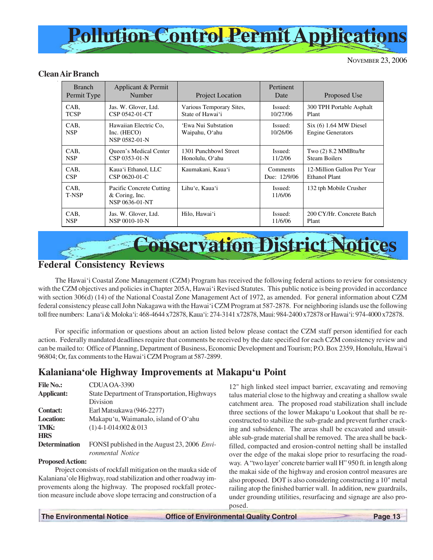<span id="page-12-0"></span>

### **Clean Air Branch**

| <b>Branch</b><br>Permit Type | Applicant & Permit<br>Number                                   | <b>Project Location</b>               | Pertinent<br>Date   | Proposed Use                                         |
|------------------------------|----------------------------------------------------------------|---------------------------------------|---------------------|------------------------------------------------------|
| CAB,                         | Jas. W. Glover, Ltd.                                           | Various Temporary Sites,              | Issued:             | 300 TPH Portable Asphalt                             |
| <b>TCSP</b>                  | CSP 0542-01-CT                                                 | State of Hawai'i                      | 10/27/06            | Plant                                                |
| CAB,<br><b>NSP</b>           | Hawaiian Electric Co.<br>Inc. $(HECO)$<br>NSP 0582-01-N        | 'Ewa Nui Substation<br>Waipahu, O'ahu | Issued:<br>10/26/06 | $Six (6) 1.64 MW$ Diesel<br><b>Engine Generators</b> |
| CAB,                         | <b>Oueen's Medical Center</b>                                  | 1301 Punchbowl Street                 | Issued:             | Two (2) 8.2 MMBtu/hr                                 |
| <b>NSP</b>                   | CSP 0353-01-N                                                  | Honolulu, O'ahu                       | 11/2/06             | <b>Steam Boilers</b>                                 |
| CAB,                         | Kaua'i Ethanol, LLC                                            | Kaumakani, Kaua'i                     | Comments            | 12-Million Gallon Per Year                           |
| CSP                          | CSP 0620-01-C                                                  |                                       | Due: 12/9/06        | Ethanol Plant                                        |
| CAB,<br><b>T-NSP</b>         | Pacific Concrete Cutting<br>$&$ Coring, Inc.<br>NSP 0636-01-NT | Lihu'e, Kaua'i                        | Issued:<br>11/6/06  | 132 tph Mobile Crusher                               |
| CAB,                         | Jas. W. Glover, Ltd.                                           | Hilo, Hawai'i                         | Issued:             | 200 CY/Hr. Concrete Batch                            |
| <b>NSP</b>                   | NSP 0010-10-N                                                  |                                       | 11/6/06             | Plant                                                |

# **Conservation District Notices**

### **Federal Consistency Reviews**

The Hawai'i Coastal Zone Management (CZM) Program has received the following federal actions to review for consistency with the CZM objectives and policies in Chapter 205A, Hawai'i Revised Statutes. This public notice is being provided in accordance with section 306(d) (14) of the National Coastal Zone Management Act of 1972, as amended. For general information about CZM federal consistency please call John Nakagawa with the Hawai'i CZM Program at 587-2878. For neighboring islands use the following toll free numbers: Lana'i & Moloka'i: 468-4644 x72878, Kaua'i: 274-3141 x72878, Maui: 984-2400 x72878 or Hawai'i: 974-4000 x72878.

For specific information or questions about an action listed below please contact the CZM staff person identified for each action. Federally mandated deadlines require that comments be received by the date specified for each CZM consistency review and can be mailed to: Office of Planning, Department of Business, Economic Development and Tourism; P.O. Box 2359, Honolulu, Hawai'i 96804; Or, fax comments to the Hawai'i CZM Program at 587-2899.

### **Kalaniana'ole Highway Improvements at Makapu'u Point**

| <b>File No.:</b>     | CDUA OA-3390                                 |
|----------------------|----------------------------------------------|
| Applicant:           | State Department of Transportation, Highways |
|                      | Division                                     |
| <b>Contact:</b>      | Earl Matsukawa (946-2277)                    |
| <b>Location:</b>     | Makapu'u, Waimanalo, island of O'ahu         |
| TMK:                 | $(1)$ 4-1-014:002 & 013                      |
| <b>HRS</b>           |                                              |
| <b>Determination</b> | FONSI published in the August 23, 2006 Envi- |
|                      | ronmental Notice                             |

### **Proposed Action:**

Project consists of rockfall mitigation on the mauka side of Kalaniana'ole Highway, road stabilization and other roadway improvements along the highway. The proposed rockfall protection measure include above slope terracing and construction of a 12" high linked steel impact barrier, excavating and removing talus material close to the highway and creating a shallow swale catchment area. The proposed road stabilization shall include three sections of the lower Makapu'u Lookout that shall be reconstructed to stabilize the sub-grade and prevent further cracking and subsidence. The areas shall be excavated and unsuitable sub-grade material shall be removed. The area shall be backfilled, compacted and erosion-control netting shall be installed over the edge of the makai slope prior to resurfacing the roadway. A "two layer' concrete barrier wall H" 950 ft. in length along the makai side of the highway and erosion control measures are also proposed. DOT is also considering constructing a 10" metal railing atop the finished barrier wall. In addition, new guardrails, under grounding utilities, resurfacing and signage are also proposed.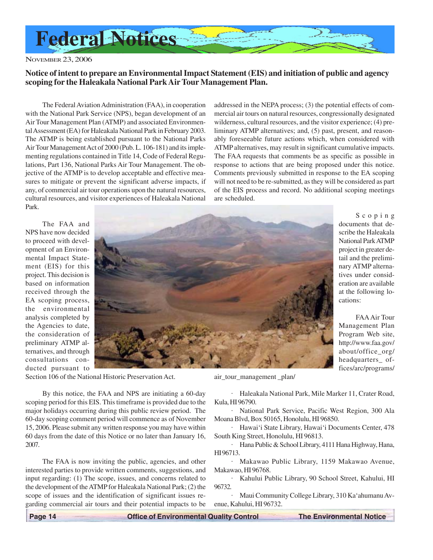<span id="page-13-0"></span>

### **Notice of intent to prepare an Environmental Impact Statement (EIS) and initiation of public and agency scoping for the Haleakala National Park Air Tour Management Plan.**

The Federal Aviation Administration (FAA), in cooperation with the National Park Service (NPS), began development of an Air Tour Management Plan (ATMP) and associated Environmental Assessment (EA) for Haleakala National Park in February 2003. The ATMP is being established pursuant to the National Parks Air Tour Management Act of 2000 (Pub. L. 106-181) and its implementing regulations contained in Title 14, Code of Federal Regulations, Part 136, National Parks Air Tour Management. The objective of the ATMP is to develop acceptable and effective measures to mitigate or prevent the significant adverse impacts, if any, of commercial air tour operations upon the natural resources, cultural resources, and visitor experiences of Haleakala National Park.

addressed in the NEPA process; (3) the potential effects of commercial air tours on natural resources, congressionally designated wilderness, cultural resources, and the visitor experience; (4) preliminary ATMP alternatives; and, (5) past, present, and reasonably foreseeable future actions which, when considered with ATMP alternatives, may result in significant cumulative impacts. The FAA requests that comments be as specific as possible in response to actions that are being proposed under this notice. Comments previously submitted in response to the EA scoping will not need to be re-submitted, as they will be considered as part of the EIS process and record. No additional scoping meetings are scheduled.

> Scoping documents that describe the Haleakala National Park ATMP project in greater detail and the preliminary ATMP alternatives under consideration are available at the following lo-

> FAA Air Tour Management Plan Program Web site, http://www.faa.gov/ about/office\_org/ headquarters\_ offices/arc/programs/

cations:

The FAA and NPS have now decided to proceed with development of an Environmental Impact Statement (EIS) for this project. This decision is based on information received through the EA scoping process, the environmental analysis completed by the Agencies to date, the consideration of preliminary ATMP alternatives, and through consultations conducted pursuant to



Section 106 of the National Historic Preservation Act.

By this notice, the FAA and NPS are initiating a 60-day scoping period for this EIS. This timeframe is provided due to the major holidays occurring during this public review period. The 60-day scoping comment period will commence as of November 15, 2006. Please submit any written response you may have within 60 days from the date of this Notice or no later than January 16, 2007.

The FAA is now inviting the public, agencies, and other interested parties to provide written comments, suggestions, and input regarding: (1) The scope, issues, and concerns related to the development of the ATMP for Haleakala National Park; (2) the scope of issues and the identification of significant issues regarding commercial air tours and their potential impacts to be

air\_tour\_management \_plan/

· Haleakala National Park, Mile Marker 11, Crater Road, Kula, HI 96790.

· National Park Service, Pacific West Region, 300 Ala Moana Blvd, Box 50165, Honolulu, HI 96850.

· Hawai'i State Library, Hawai'i Documents Center, 478 South King Street, Honolulu, HI 96813.

Hana Public & School Library, 4111 Hana Highway, Hana, HI 96713.

· Makawao Public Library, 1159 Makawao Avenue, Makawao, HI 96768.

Kahului Public Library, 90 School Street, Kahului, HI 96732.

· Maui Community College Library, 310 Ka'ahumanu Avenue, Kahului, HI 96732.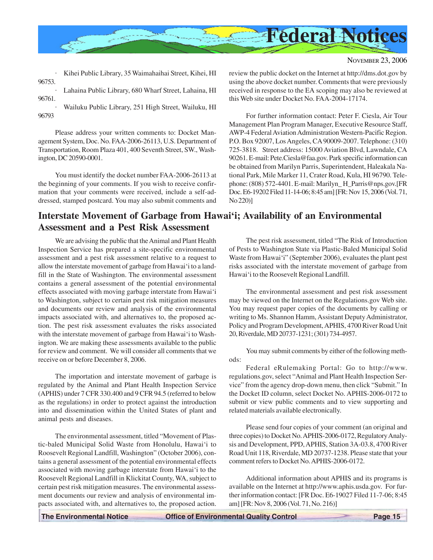<span id="page-14-0"></span>

|                               | · Kihei Public Library, 35 Waimahaihai Street, Kihei, HI |
|-------------------------------|----------------------------------------------------------|
| 96753.                        | · Lahaina Public Library, 680 Wharf Street, Lahaina, HI  |
| 96761.                        |                                                          |
| $\ddot{\phantom{0}}$<br>96793 | Wailuku Public Library, 251 High Street, Wailuku, HI     |

Please address your written comments to: Docket Management System, Doc. No. FAA-2006-26113, U.S. Department of Transportation, Room Plaza 401, 400 Seventh Street, SW., Washington, DC 20590-0001.

You must identify the docket number FAA-2006-26113 at the beginning of your comments. If you wish to receive confirmation that your comments were received, include a self-addressed, stamped postcard. You may also submit comments and

### **Interstate Movement of Garbage from Hawai'i; Availability of an Environmental Assessment and a Pest Risk Assessment**

We are advising the public that the Animal and Plant Health Inspection Service has prepared a site-specific environmental assessment and a pest risk assessment relative to a request to allow the interstate movement of garbage from Hawai'i to a landfill in the State of Washington. The environmental assessment contains a general assessment of the potential environmental effects associated with moving garbage interstate from Hawai'i to Washington, subject to certain pest risk mitigation measures and documents our review and analysis of the environmental impacts associated with, and alternatives to, the proposed action. The pest risk assessment evaluates the risks associated with the interstate movement of garbage from Hawai'i to Washington. We are making these assessments available to the public for review and comment. We will consider all comments that we receive on or before December 8, 2006.

The importation and interstate movement of garbage is regulated by the Animal and Plant Health Inspection Service (APHIS) under 7 CFR 330.400 and 9 CFR 94.5 (referred to below as the regulations) in order to protect against the introduction into and dissemination within the United States of plant and animal pests and diseases.

The environmental assessment, titled "Movement of Plastic-baled Municipal Solid Waste from Honolulu, Hawai'i to Roosevelt Regional Landfill, Washington" (October 2006), contains a general assessment of the potential environmental effects associated with moving garbage interstate from Hawai'i to the Roosevelt Regional Landfill in Klickitat County, WA, subject to certain pest risk mitigation measures. The environmental assessment documents our review and analysis of environmental impacts associated with, and alternatives to, the proposed action.

review the public docket on the Internet at http://dms.dot.gov by using the above docket number. Comments that were previously received in response to the EA scoping may also be reviewed at this Web site under Docket No. FAA-2004-17174.

For further information contact: Peter F. Ciesla, Air Tour Management Plan Program Manager, Executive Resource Staff, AWP-4 Federal Aviation Administration Western-Pacific Region. P.O. Box 92007, Los Angeles, CA 90009-2007. Telephone: (310) 725-3818. Street address: 15000 Aviation Blvd, Lawndale, CA 90261. E-mail: Pete.Ciesla@faa.gov. Park specific information can be obtained from Marilyn Parris, Superintendent, Haleakala National Park, Mile Marker 11, Crater Road, Kula, HI 96790. Telephone: (808) 572-4401. E-mail: Marilyn\_ H\_Parris@nps.gov.[FR Doc. E6-19202 Filed 11-14-06; 8:45 am] [FR: Nov 15, 2006 (Vol. 71, No 220)]

The pest risk assessment, titled "The Risk of Introduction of Pests to Washington State via Plastic-Baled Municipal Solid Waste from Hawai'i" (September 2006), evaluates the plant pest risks associated with the interstate movement of garbage from Hawai'i to the Roosevelt Regional Landfill.

The environmental assessment and pest risk assessment may be viewed on the Internet on the Regulations.gov Web site. You may request paper copies of the documents by calling or writing to Ms. Shannon Hamm, Assistant Deputy Administrator, Policy and Program Development, APHIS, 4700 River Road Unit 20, Riverdale, MD 20737-1231; (301) 734-4957.

You may submit comments by either of the following methods:

Federal eRulemaking Portal: Go to http://www. regulations.gov, select "Animal and Plant Health Inspection Service" from the agency drop-down menu, then click "Submit." In the Docket ID column, select Docket No. APHIS-2006-0172 to submit or view public comments and to view supporting and related materials available electronically.

Please send four copies of your comment (an original and three copies) to Docket No. APHIS-2006-0172, Regulatory Analysis and Development, PPD, APHIS, Station 3A-03.8, 4700 River Road Unit 118, Riverdale, MD 20737-1238. Please state that your comment refers to Docket No. APHIS-2006-0172.

Additional information about APHIS and its programs is available on the Internet at http://www.aphis.usda.gov. For further information contact: [FR Doc. E6-19027 Filed 11-7-06; 8:45 am] [FR: Nov 8, 2006 (Vol. 71, No. 216)]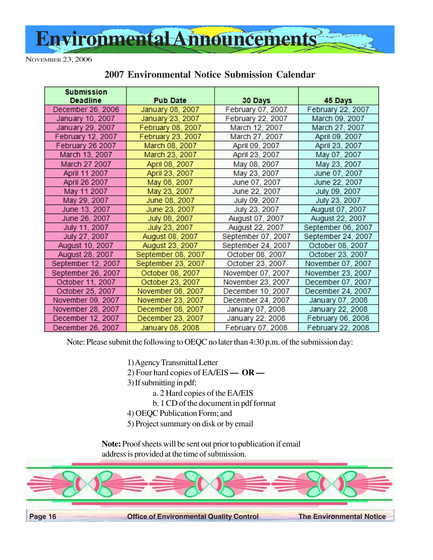<span id="page-15-0"></span>

| <b>Submission</b><br><b>Deadline</b> | <b>Pub Date</b>    | 30 Days            | 45 Days            |
|--------------------------------------|--------------------|--------------------|--------------------|
| December 26, 2006                    | January 08, 2007   | February 07, 2007  | February 22, 2007  |
| January 10, 2007                     | January 23, 2007   | February 22, 2007  | March 09, 2007     |
| January 29, 2007                     | February 08, 2007  | March 12, 2007     | March 27, 2007     |
| February 12, 2007                    | February 23, 2007  | March 27, 2007     | April 09, 2007     |
| February 26 2007                     | March 08, 2007     | April 09, 2007     | April 23, 2007     |
| March 13, 2007                       | March 23, 2007     | April 23, 2007     | May 07, 2007       |
| March 27 2007                        | April 08, 2007     | May 08, 2007       | May 23, 2007       |
| April 11 2007                        | April 23, 2007     | May 23, 2007       | June 07, 2007      |
| April 26 2007                        | May 08, 2007       | June 07, 2007      | June 22, 2007      |
| May 11 2007                          | May 23, 2007       | June 22, 2007      | July 09, 2007      |
| May 29, 2007                         | June 08, 2007      | July 09, 2007      | July 23, 2007      |
| June 13, 2007                        | June 23, 2007      | July 23, 2007      | August 07, 2007    |
| June 26, 2007                        | July 08, 2007      | August 07, 2007    | August 22, 2007    |
| July 11, 2007                        | July 23, 2007      | August 22, 2007    | September 06, 2007 |
| July 27, 2007                        | August 08, 2007    | September 07, 2007 | September 24, 2007 |
| August 10, 2007                      | August 23, 2007    | September 24, 2007 | October 08, 2007   |
| August 28, 2007                      | September 08, 2007 | October 08, 2007   | October 23, 2007   |
| September 12, 2007                   | September 23, 2007 | October 23, 2007   | November 07, 2007  |
| September 26, 2007                   | October 08, 2007   | November 07, 2007  | November 23, 2007  |
| October 11, 2007                     | October 23, 2007   | November 23, 2007  | December 07, 2007  |
| October 25, 2007                     | November 08, 2007  | December 10, 2007  | December 24, 2007  |
| November 09, 2007                    | November 23, 2007  | December 24, 2007  | January 07, 2008   |
| November 28, 2007                    | December 08, 2007  | January 07, 2008   | January 22, 2008   |
| December 12, 2007                    | December 23, 2007  | January 22, 2008   | February 06, 2008  |
| December 26, 2007                    | January 08, 2008   | February 07, 2008  | February 22, 2008  |

### **2007 Environmental Notice Submission Calendar**

Note: Please submit the following to OEQC no later than 4:30 p.m. of the submission day:

1) Agency Transmittal Letter

- 2) Four hard copies of EA/EIS  **OR —**
- 3) If submitting in pdf:
	- a. 2 Hard copies of the EA/EIS
	- b. 1 CD of the document in pdf format
- 4) OEQC Publication Form; and
- 5) Project summary on disk or by email

**Note:** Proof sheets will be sent out prior to publication if email address is provided at the time of submission.